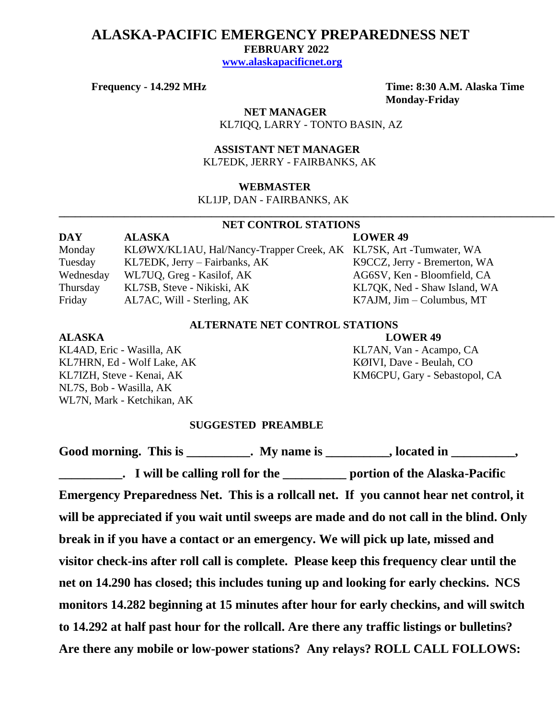## **ALASKA-PACIFIC EMERGENCY PREPAREDNESS NET**

 **FEBRUARY 2022**

 **[www.alaskapacificnet.org](http://www.alaskapacificnet.org/)**

**Frequency - 14.292 MHz Time: 8:30 A.M. Alaska Time Monday-Friday**

> **NET MANAGER** KL7IQQ, LARRY - TONTO BASIN, AZ

 **ASSISTANT NET MANAGER**  KL7EDK, JERRY - FAIRBANKS, AK

#### **WEBMASTER**

KL1JP, DAN - FAIRBANKS, AK

### **NET CONTROL STATIONS**

**\_\_\_\_\_\_\_\_\_\_\_\_\_\_\_\_\_\_\_\_\_\_\_\_\_\_\_\_\_\_\_\_\_\_\_\_\_\_\_\_\_\_\_\_\_\_\_\_\_\_\_\_\_\_\_\_\_\_\_\_\_\_\_\_\_\_\_\_\_\_\_\_\_\_\_\_\_\_\_\_\_\_\_\_\_\_\_\_\_\_\_**

**DAY ALASKA LOWER 49** Monday KLØWX/KL1AU, Hal/Nancy-Trapper Creek, AK KL7SK, Art -Tumwater, WA Tuesday KL7EDK, Jerry – Fairbanks, AK K9CCZ, Jerry - Bremerton, WA Wednesday WL7UQ, Greg - Kasilof, AK AG6SV, Ken - Bloomfield, CA Thursday KL7SB, Steve - Nikiski, AK KL7QK, Ned - Shaw Island, WA Friday AL7AC, Will - Sterling, AK K7AJM, Jim – Columbus, MT

### **ALTERNATE NET CONTROL STATIONS**

KL4AD, Eric - Wasilla, AK KL7AN, Van - Acampo, CA KL7HRN, Ed - Wolf Lake, AK KØIVI, Dave - Beulah, CO NL7S, Bob - Wasilla, AK WL7N, Mark - Ketchikan, AK

**ALASKA LOWER 49**

KL7IZH, Steve - Kenai, AK KM6CPU, Gary - Sebastopol, CA

#### **SUGGESTED PREAMBLE**

Good morning. This is This is a mean of the My name is the case of the set of the set of the set of the set of t

**\_\_\_\_\_\_\_\_\_\_. I will be calling roll for the \_\_\_\_\_\_\_\_\_\_ portion of the Alaska-Pacific** 

**Emergency Preparedness Net. This is a rollcall net. If you cannot hear net control, it will be appreciated if you wait until sweeps are made and do not call in the blind. Only break in if you have a contact or an emergency. We will pick up late, missed and visitor check-ins after roll call is complete. Please keep this frequency clear until the net on 14.290 has closed; this includes tuning up and looking for early checkins. NCS monitors 14.282 beginning at 15 minutes after hour for early checkins, and will switch to 14.292 at half past hour for the rollcall. Are there any traffic listings or bulletins? Are there any mobile or low-power stations? Any relays? ROLL CALL FOLLOWS:**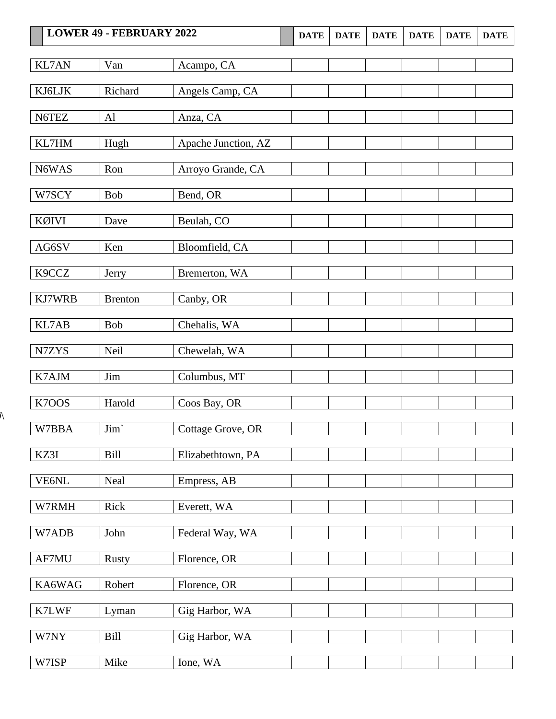|              | <b>LOWER 49 - FEBRUARY 2022</b> |                     | <b>DATE</b> | <b>DATE</b> | <b>DATE</b> | <b>DATE</b> | <b>DATE</b> | <b>DATE</b> |
|--------------|---------------------------------|---------------------|-------------|-------------|-------------|-------------|-------------|-------------|
| <b>KL7AN</b> | Van                             | Acampo, CA          |             |             |             |             |             |             |
| KJ6LJK       | Richard                         | Angels Camp, CA     |             |             |             |             |             |             |
|              |                                 |                     |             |             |             |             |             |             |
| N6TEZ        | Al                              | Anza, CA            |             |             |             |             |             |             |
| KL7HM        | Hugh                            | Apache Junction, AZ |             |             |             |             |             |             |
| N6WAS        | Ron                             | Arroyo Grande, CA   |             |             |             |             |             |             |
| W7SCY        | Bob                             | Bend, OR            |             |             |             |             |             |             |
| KØIVI        | Dave                            | Beulah, CO          |             |             |             |             |             |             |
| AG6SV        | Ken                             | Bloomfield, CA      |             |             |             |             |             |             |
| K9CCZ        | Jerry                           | Bremerton, WA       |             |             |             |             |             |             |
| KJ7WRB       | <b>Brenton</b>                  | Canby, OR           |             |             |             |             |             |             |
| KL7AB        | Bob                             | Chehalis, WA        |             |             |             |             |             |             |
| N7ZYS        | Neil                            | Chewelah, WA        |             |             |             |             |             |             |
| K7AJM        | Jim                             | Columbus, MT        |             |             |             |             |             |             |
| K7OOS        | Harold                          | Coos Bay, OR        |             |             |             |             |             |             |
| W7BBA        | Jim`                            | Cottage Grove, OR   |             |             |             |             |             |             |
| KZ3I         | Bill                            | Elizabethtown, PA   |             |             |             |             |             |             |
| VE6NL        | Neal                            | Empress, AB         |             |             |             |             |             |             |
| W7RMH        | Rick                            | Everett, WA         |             |             |             |             |             |             |
| W7ADB        | John                            | Federal Way, WA     |             |             |             |             |             |             |
| AF7MU        | <b>Rusty</b>                    | Florence, OR        |             |             |             |             |             |             |
| KA6WAG       | Robert                          | Florence, OR        |             |             |             |             |             |             |
| K7LWF        | Lyman                           | Gig Harbor, WA      |             |             |             |             |             |             |
| W7NY         | Bill                            | Gig Harbor, WA      |             |             |             |             |             |             |
| W7ISP        | Mike                            | Ione, WA            |             |             |             |             |             |             |

 $\lambda$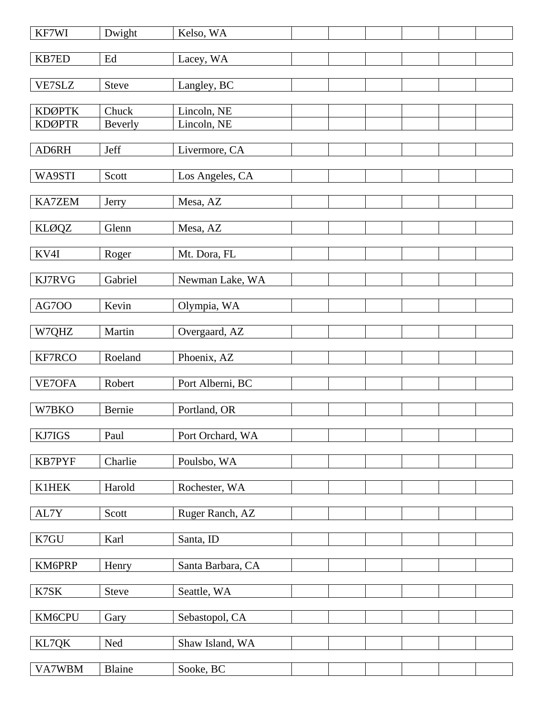| KF7WI         | Dwight              | Kelso, WA         |  |  |  |
|---------------|---------------------|-------------------|--|--|--|
| KB7ED         | $\operatorname{Ed}$ | Lacey, WA         |  |  |  |
| <b>VE7SLZ</b> | <b>Steve</b>        | Langley, BC       |  |  |  |
| <b>KDØPTK</b> | Chuck               | Lincoln, NE       |  |  |  |
| <b>KDØPTR</b> | Beverly             | Lincoln, NE       |  |  |  |
| AD6RH         | Jeff                | Livermore, CA     |  |  |  |
| WA9STI        | Scott               | Los Angeles, CA   |  |  |  |
| <b>KA7ZEM</b> | Jerry               | Mesa, AZ          |  |  |  |
| <b>KLØQZ</b>  | Glenn               | Mesa, AZ          |  |  |  |
| KV4I          | Roger               | Mt. Dora, FL      |  |  |  |
| KJ7RVG        | Gabriel             | Newman Lake, WA   |  |  |  |
|               |                     |                   |  |  |  |
| <b>AG700</b>  | Kevin               | Olympia, WA       |  |  |  |
| W7QHZ         | Martin              | Overgaard, AZ     |  |  |  |
| KF7RCO        | Roeland             | Phoenix, AZ       |  |  |  |
| VE7OFA        | Robert              | Port Alberni, BC  |  |  |  |
| W7BKO         | Bernie              | Portland, OR      |  |  |  |
| KJ7IGS        | Paul                | Port Orchard, WA  |  |  |  |
| KB7PYF        | Charlie             | Poulsbo, WA       |  |  |  |
| <b>K1HEK</b>  | Harold              | Rochester, WA     |  |  |  |
| AL7Y          | Scott               | Ruger Ranch, AZ   |  |  |  |
| K7GU          | Karl                | Santa, ID         |  |  |  |
| KM6PRP        | Henry               | Santa Barbara, CA |  |  |  |
| K7SK          | <b>Steve</b>        | Seattle, WA       |  |  |  |
| KM6CPU        | Gary                | Sebastopol, CA    |  |  |  |
| KL7QK         | Ned                 | Shaw Island, WA   |  |  |  |
| VA7WBM        | Blaine              | Sooke, BC         |  |  |  |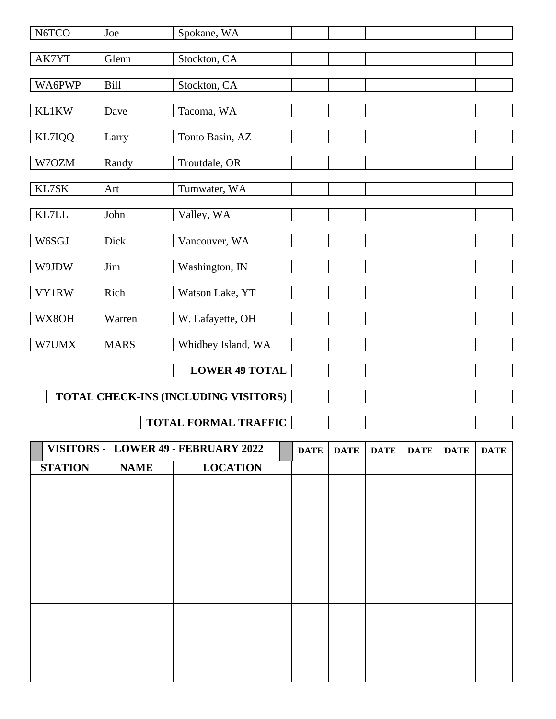| N6TCO          | Joe         | Spokane, WA                          |             |             |             |             |             |             |
|----------------|-------------|--------------------------------------|-------------|-------------|-------------|-------------|-------------|-------------|
| AK7YT          | Glenn       | Stockton, CA                         |             |             |             |             |             |             |
| WA6PWP         | <b>Bill</b> | Stockton, CA                         |             |             |             |             |             |             |
| KL1KW          | Dave        | Tacoma, WA                           |             |             |             |             |             |             |
|                |             |                                      |             |             |             |             |             |             |
| KL7IQQ         | Larry       | Tonto Basin, AZ                      |             |             |             |             |             |             |
| W7OZM          | Randy       | Troutdale, OR                        |             |             |             |             |             |             |
| KL7SK          | Art         | Tumwater, WA                         |             |             |             |             |             |             |
| KL7LL          | John        | Valley, WA                           |             |             |             |             |             |             |
| W6SGJ          | Dick        | Vancouver, WA                        |             |             |             |             |             |             |
| W9JDW          | Jim         | Washington, IN                       |             |             |             |             |             |             |
| <b>VY1RW</b>   | Rich        | Watson Lake, YT                      |             |             |             |             |             |             |
| WX8OH          | Warren      | W. Lafayette, OH                     |             |             |             |             |             |             |
| W7UMX          | <b>MARS</b> | Whidbey Island, WA                   |             |             |             |             |             |             |
|                |             | <b>LOWER 49 TOTAL</b>                |             |             |             |             |             |             |
|                |             | TOTAL CHECK-INS (INCLUDING VISITORS) |             |             |             |             |             |             |
|                |             | <b>TOTAL FORMAL TRAFFIC</b>          |             |             |             |             |             |             |
|                |             | VISITORS - LOWER 49 - FEBRUARY 2022  | <b>DATE</b> | <b>DATE</b> | <b>DATE</b> | <b>DATE</b> | <b>DATE</b> | <b>DATE</b> |
| <b>STATION</b> | <b>NAME</b> | <b>LOCATION</b>                      |             |             |             |             |             |             |
|                |             |                                      |             |             |             |             |             |             |
|                |             |                                      |             |             |             |             |             |             |
|                |             |                                      |             |             |             |             |             |             |
|                |             |                                      |             |             |             |             |             |             |
|                |             |                                      |             |             |             |             |             |             |
|                |             |                                      |             |             |             |             |             |             |
|                |             |                                      |             |             |             |             |             |             |
|                |             |                                      |             |             |             |             |             |             |
|                |             |                                      |             |             |             |             |             |             |
|                |             |                                      |             |             |             |             |             |             |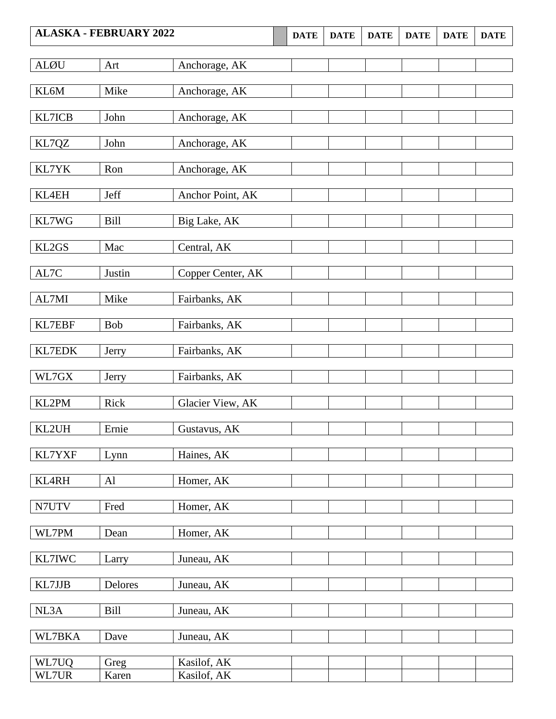| <b>ALØU</b>              | Art     | Anchorage, AK     |  |  |  |
|--------------------------|---------|-------------------|--|--|--|
|                          |         |                   |  |  |  |
| KL6M                     | Mike    | Anchorage, AK     |  |  |  |
|                          |         |                   |  |  |  |
| KL7ICB                   | John    | Anchorage, AK     |  |  |  |
|                          |         |                   |  |  |  |
| KL7QZ                    | John    | Anchorage, AK     |  |  |  |
|                          |         |                   |  |  |  |
| KL7YK                    | Ron     | Anchorage, AK     |  |  |  |
|                          |         |                   |  |  |  |
| KL4EH                    | Jeff    | Anchor Point, AK  |  |  |  |
|                          |         |                   |  |  |  |
| KL7WG                    | Bill    | Big Lake, AK      |  |  |  |
|                          |         |                   |  |  |  |
| KL2GS                    | Mac     | Central, AK       |  |  |  |
|                          |         |                   |  |  |  |
| $\mathrm{AL}7\mathrm{C}$ | Justin  | Copper Center, AK |  |  |  |
|                          |         |                   |  |  |  |
| AL7MI                    | Mike    | Fairbanks, AK     |  |  |  |
|                          |         |                   |  |  |  |
| KL7EBF                   | Bob     | Fairbanks, AK     |  |  |  |
|                          |         |                   |  |  |  |
| KL7EDK                   | Jerry   | Fairbanks, AK     |  |  |  |
|                          |         |                   |  |  |  |
| $\rm W L7G X$            | Jerry   | Fairbanks, AK     |  |  |  |
|                          |         |                   |  |  |  |
| KL2PM                    | Rick    | Glacier View, AK  |  |  |  |
|                          | Ernie   |                   |  |  |  |
| KL2UH                    |         | Gustavus, AK      |  |  |  |
|                          |         |                   |  |  |  |
| KL7YXF                   | Lynn    | Haines, AK        |  |  |  |
| KL4RH                    | Al      | Homer, AK         |  |  |  |
|                          |         |                   |  |  |  |
| N7UTV                    | Fred    | Homer, AK         |  |  |  |
|                          |         |                   |  |  |  |
| WL7PM                    | Dean    | Homer, AK         |  |  |  |
|                          |         |                   |  |  |  |
| KL7IWC                   | Larry   | Juneau, AK        |  |  |  |
|                          |         |                   |  |  |  |
| KL7JJB                   | Delores | Juneau, AK        |  |  |  |
|                          |         |                   |  |  |  |
| NL3A                     | Bill    | Juneau, AK        |  |  |  |
|                          |         |                   |  |  |  |
| WL7BKA                   | Dave    | Juneau, AK        |  |  |  |
|                          |         |                   |  |  |  |
| WL7UQ                    | Greg    | Kasilof, AK       |  |  |  |
| WL7UR                    | Karen   | Kasilof, AK       |  |  |  |
|                          |         |                   |  |  |  |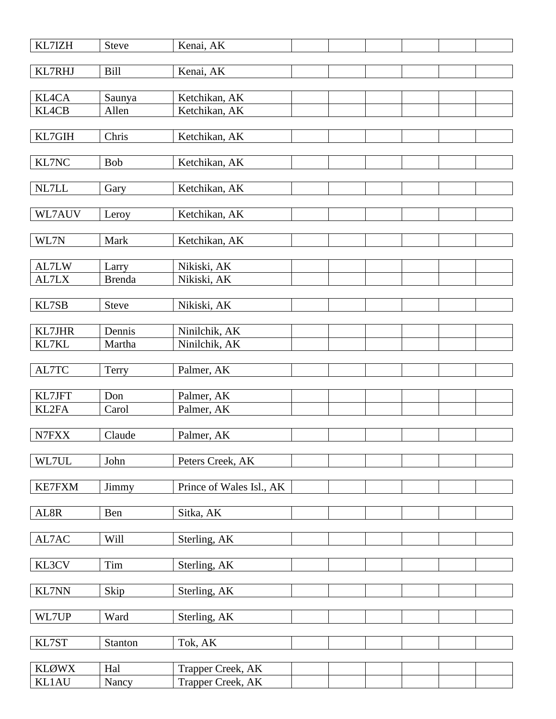| KL7IZH         | <b>Steve</b>    | Kenai, AK                      |  |  |
|----------------|-----------------|--------------------------------|--|--|
| KL7RHJ         | Bill            | Kenai, AK                      |  |  |
|                |                 |                                |  |  |
| KL4CA<br>KL4CB | Saunya<br>Allen | Ketchikan, AK<br>Ketchikan, AK |  |  |
|                |                 |                                |  |  |
| KL7GIH         | Chris           | Ketchikan, AK                  |  |  |
|                |                 |                                |  |  |
| KL7NC          | <b>Bob</b>      | Ketchikan, AK                  |  |  |
|                |                 |                                |  |  |
| NL7LL          | Gary            | Ketchikan, AK                  |  |  |
|                |                 |                                |  |  |
| WL7AUV         | Leroy           | Ketchikan, AK                  |  |  |
| WL7N           |                 |                                |  |  |
|                | Mark            | Ketchikan, AK                  |  |  |
| AL7LW          | Larry           | Nikiski, AK                    |  |  |
| AL7LX          | <b>Brenda</b>   | Nikiski, AK                    |  |  |
|                |                 |                                |  |  |
| KL7SB          | <b>Steve</b>    | Nikiski, AK                    |  |  |
|                |                 |                                |  |  |
| KL7JHR         | Dennis          | Ninilchik, AK                  |  |  |
| KL7KL          | Martha          | Ninilchik, AK                  |  |  |
|                |                 |                                |  |  |
| AL7TC          | Terry           | Palmer, AK                     |  |  |
| KL7JFT         | Don             | Palmer, AK                     |  |  |
| KL2FA          | Carol           | Palmer, AK                     |  |  |
|                |                 |                                |  |  |
| N7FXX          | Claude          | Palmer, AK                     |  |  |
|                |                 |                                |  |  |
| WL7UL          | John            | Peters Creek, AK               |  |  |
|                |                 |                                |  |  |
| <b>KE7FXM</b>  | Jimmy           | Prince of Wales Isl., AK       |  |  |
| AL8R           | Ben             | Sitka, AK                      |  |  |
|                |                 |                                |  |  |
| $\text{AL7AC}$ | Will            | Sterling, AK                   |  |  |
|                |                 |                                |  |  |
| KL3CV          | Tim             | Sterling, AK                   |  |  |
|                |                 |                                |  |  |
| <b>KL7NN</b>   | Skip            | Sterling, AK                   |  |  |
|                |                 |                                |  |  |
| WL7UP          | Ward            | Sterling, AK                   |  |  |
| KL7ST          |                 |                                |  |  |
|                | Stanton         | Tok, AK                        |  |  |
| <b>KLØWX</b>   | Hal             | Trapper Creek, AK              |  |  |
| KL1AU          | Nancy           | Trapper Creek, AK              |  |  |
|                |                 |                                |  |  |